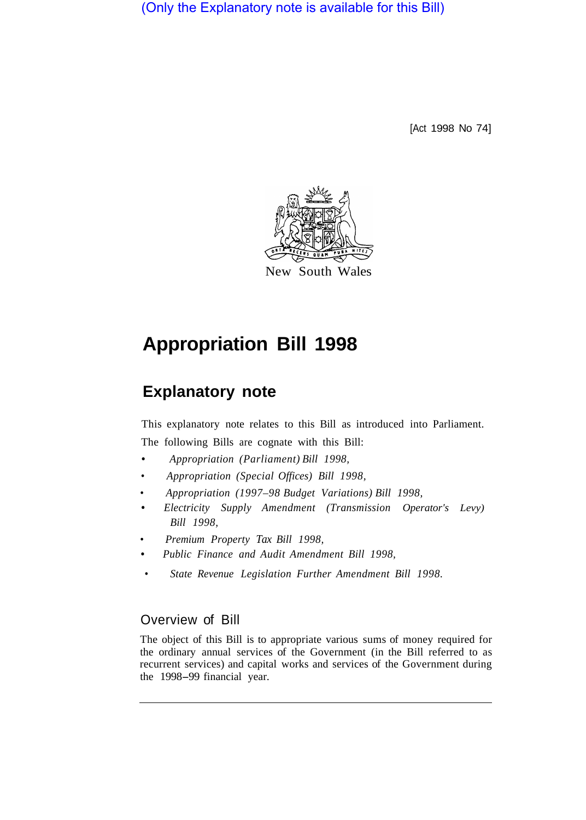(Only the Explanatory note is available for this Bill)

[Act 1998 No 74]



# **Appropriation Bill 1998**

## **Explanatory note**

This explanatory note relates to this Bill as introduced into Parliament. The following Bills are cognate with this Bill:

**•** *Appropriation (Parliament) Bill 1998,* 

- *• Appropriation (Special Offices) Bill 1998,*
- *• Appropriation (1997–98 Budget Variations) Bill 1998,*
- **•** *Electricity Supply Amendment (Transmission Operator's Levy) Bill 1998,*
- *• Premium Property Tax Bill 1998,*
- *Public Finance and Audit Amendment Bill 1998,*
- *• State Revenue Legislation Further Amendment Bill 1998.*

### Overview of Bill

The object of this Bill is to appropriate various sums of money required for the ordinary annual services of the Government (in the Bill referred to as recurrent services) and capital works and services of the Government during the 1998-99 financial year.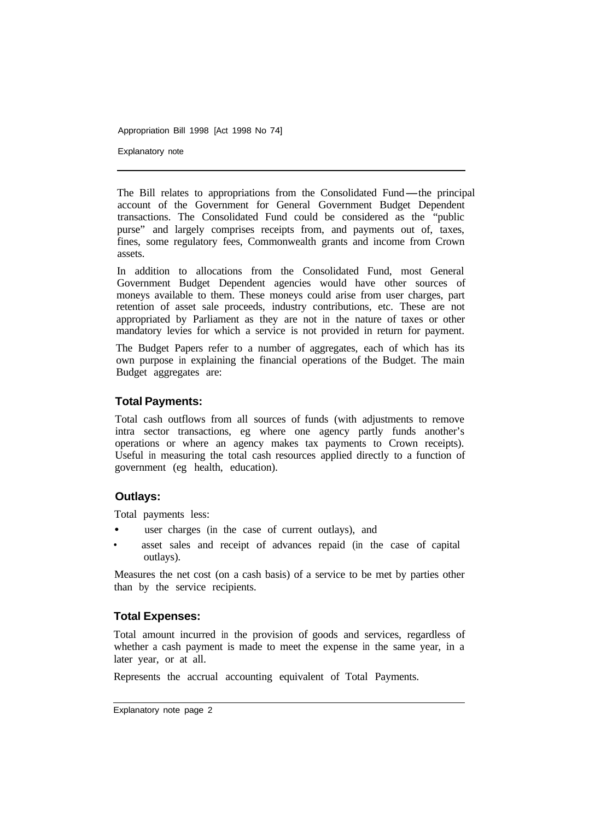Explanatory note

The Bill relates to appropriations from the Consolidated Fund-the principal account of the Government for General Government Budget Dependent transactions. The Consolidated Fund could be considered as the "public purse" and largely comprises receipts from, and payments out of, taxes, fines, some regulatory fees, Commonwealth grants and income from Crown assets.

In addition to allocations from the Consolidated Fund, most General Government Budget Dependent agencies would have other sources of moneys available to them. These moneys could arise from user charges, part retention of asset sale proceeds, industry contributions, etc. These are not appropriated by Parliament as they are not in the nature of taxes or other mandatory levies for which a service is not provided in return for payment.

The Budget Papers refer to a number of aggregates, each of which has its own purpose in explaining the financial operations of the Budget. The main Budget aggregates are:

#### **Total Payments:**

Total cash outflows from all sources of funds (with adjustments to remove intra sector transactions, eg where one agency partly funds another's operations or where an agency makes tax payments to Crown receipts). Useful in measuring the total cash resources applied directly to a function of government (eg health, education).

#### **Outlays:**

Total payments less:

- user charges (in the case of current outlays), and
- asset sales and receipt of advances repaid (in the case of capital outlays).

Measures the net cost (on a cash basis) of a service to be met by parties other than by the service recipients.

#### **Total Expenses:**

Total amount incurred in the provision of goods and services, regardless of whether a cash payment is made to meet the expense in the same year, in a later year, or at all.

Represents the accrual accounting equivalent of Total Payments.

Explanatory note page 2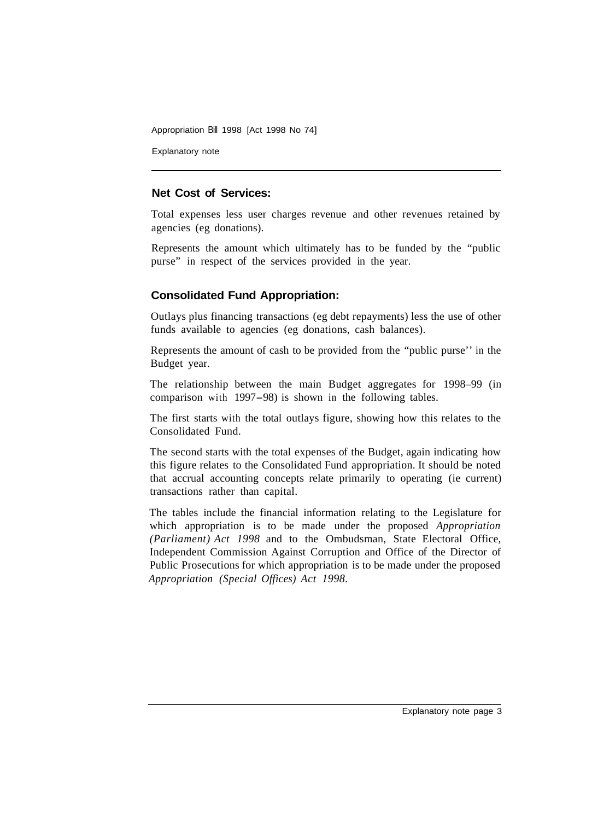Explanatory note

#### **Net Cost of Services:**

Total expenses less user charges revenue and other revenues retained by agencies (eg donations).

Represents the amount which ultimately has to be funded by the "public purse" in respect of the services provided in the year.

#### **Consolidated Fund Appropriation:**

Outlays plus financing transactions (eg debt repayments) less the use of other funds available to agencies (eg donations, cash balances).

Represents the amount of cash to be provided from the "public purse'' in the Budget year.

The relationship between the main Budget aggregates for 1998–99 (in comparison with 1997-98) is shown in the following tables.

The first starts with the total outlays figure, showing how this relates to the Consolidated Fund.

The second starts with the total expenses of the Budget, again indicating how this figure relates to the Consolidated Fund appropriation. It should be noted that accrual accounting concepts relate primarily to operating (ie current) transactions rather than capital.

The tables include the financial information relating to the Legislature for which appropriation is to be made under the proposed *Appropriation (Parliament) Act 1998* and to the Ombudsman, State Electoral Office, Independent Commission Against Corruption and Office of the Director of Public Prosecutions for which appropriation is to be made under the proposed *Appropriation (Special Offices) Act 1998.*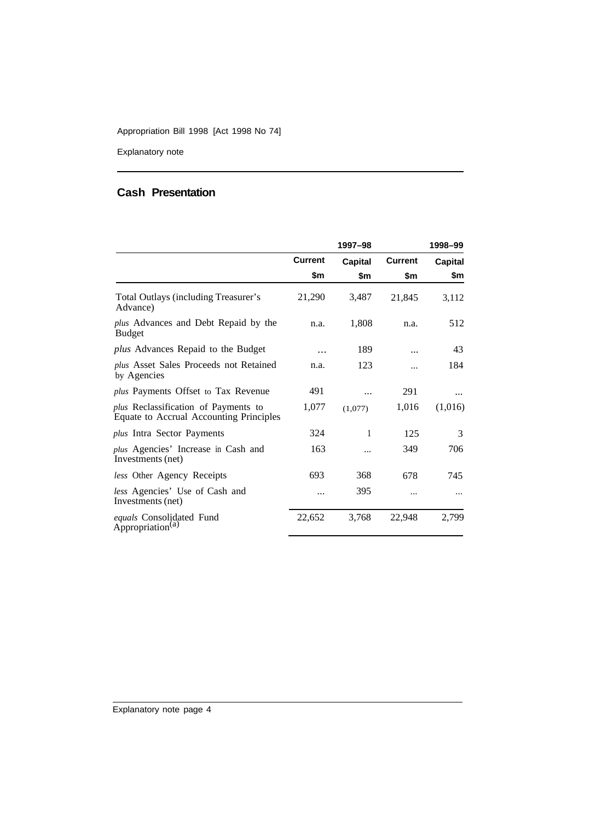Explanatory note

## **Cash Presentation**

|                                                                                        | 1997-98        |                |                | 1998-99        |
|----------------------------------------------------------------------------------------|----------------|----------------|----------------|----------------|
|                                                                                        | <b>Current</b> | <b>Capital</b> | <b>Current</b> | <b>Capital</b> |
|                                                                                        | \$m            | \$m            | \$m            | \$m            |
| Total Outlays (including Treasurer's<br>Advance)                                       | 21,290         | 3,487          | 21,845         | 3,112          |
| <i>plus</i> Advances and Debt Repaid by the<br><b>Budget</b>                           | n.a.           | 1,808          | n.a.           | 512            |
| <i>plus</i> Advances Repaid to the Budget                                              |                | 189            |                | 43             |
| <i>plus</i> Asset Sales Proceeds not Retained<br>by Agencies                           | n.a.           | 123            |                | 184            |
| plus Payments Offset to Tax Revenue                                                    | 491            |                | 291            |                |
| <i>plus</i> Reclassification of Payments to<br>Equate to Accrual Accounting Principles | 1,077          | (1,077)        | 1,016          | (1,016)        |
| plus Intra Sector Payments                                                             | 324            | 1              | 125            | 3              |
| <i>plus</i> Agencies' Increase in Cash and<br>Investments (net)                        | 163            |                | 349            | 706            |
| less Other Agency Receipts                                                             | 693            | 368            | 678            | 745            |
| <i>less</i> Agencies' Use of Cash and<br>Investments (net)                             |                | 395            |                |                |
| equals Consolidated Fund<br>Appropriation <sup>(a)</sup>                               | 22,652         | 3,768          | 22,948         | 2,799          |

Explanatory note page 4